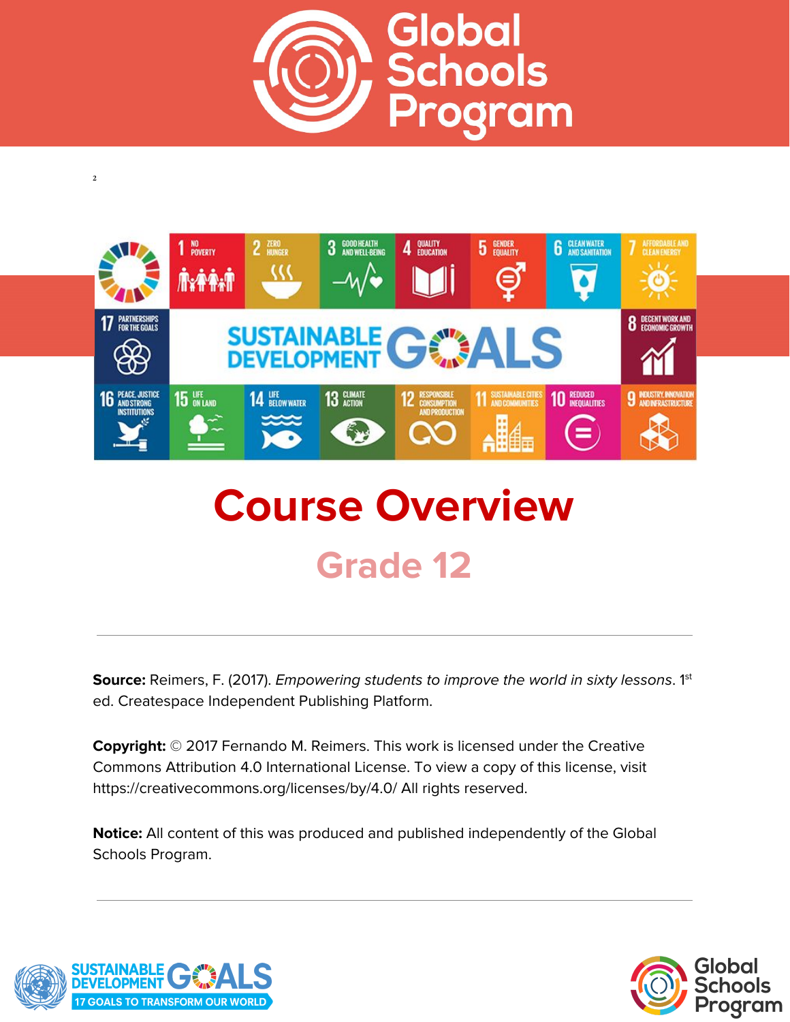



# **Course Overview Grade 12**

**Source:** Reimers, F. (2017). *Empowering students to improve the world in sixty lessons.* 1<sup>st</sup> ed. Createspace Independent Publishing Platform.

**Copyright:** © 2017 Fernando M. Reimers. This work is licensed under the Creative Commons Attribution 4.0 International License. To view a copy of this license, visit https://creativecommons.org/licenses/by/4.0/ All rights reserved.

**Notice:** All content of this was produced and published independently of the Global Schools Program.



**2**

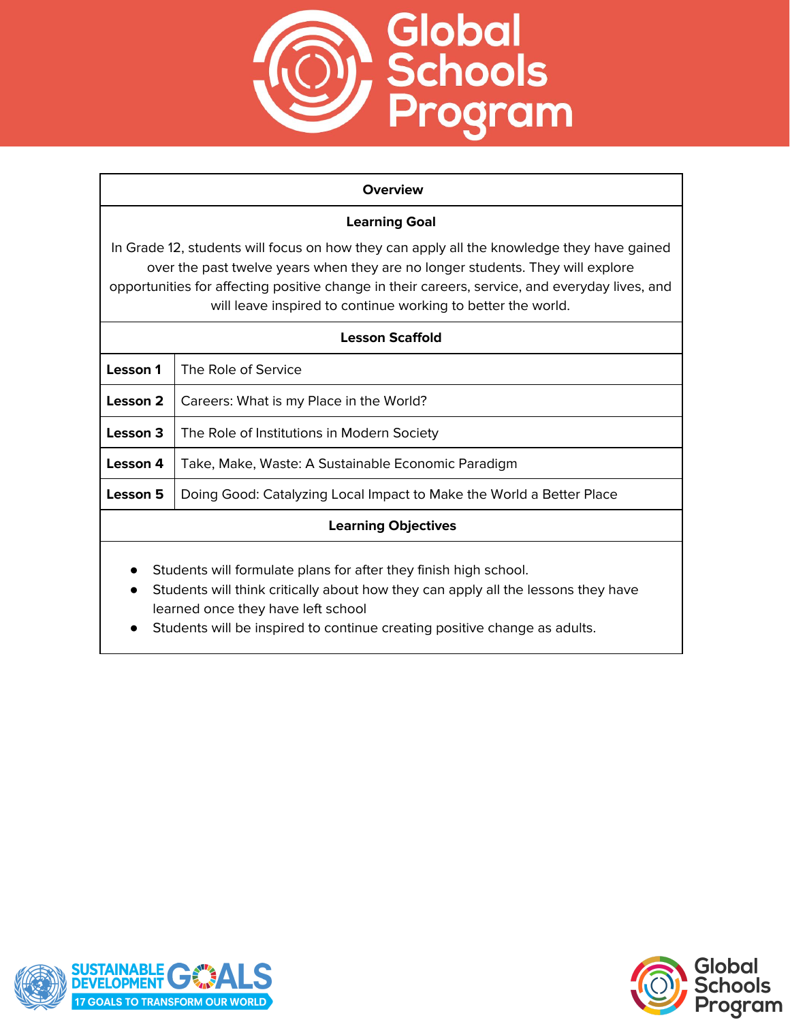

#### **Overview**

## **Learning Goal**

In Grade 12, students will focus on how they can apply all the knowledge they have gained over the past twelve years when they are no longer students. They will explore opportunities for affecting positive change in their careers, service, and everyday lives, and will leave inspired to continue working to better the world.

| Lesson Scaffold                                                                                                                                                    |                                                                      |
|--------------------------------------------------------------------------------------------------------------------------------------------------------------------|----------------------------------------------------------------------|
| Lesson 1                                                                                                                                                           | The Role of Service                                                  |
| Lesson 2                                                                                                                                                           | Careers: What is my Place in the World?                              |
| Lesson 3                                                                                                                                                           | The Role of Institutions in Modern Society                           |
| Lesson 4                                                                                                                                                           | Take, Make, Waste: A Sustainable Economic Paradigm                   |
| Lesson 5                                                                                                                                                           | Doing Good: Catalyzing Local Impact to Make the World a Better Place |
| <b>Learning Objectives</b>                                                                                                                                         |                                                                      |
| Students will formulate plans for after they finish high school.<br>$\bullet$<br>Students will think critically about how they can apply all the lessons they have |                                                                      |

- learned once they have left school
- Students will be inspired to continue creating positive change as adults.



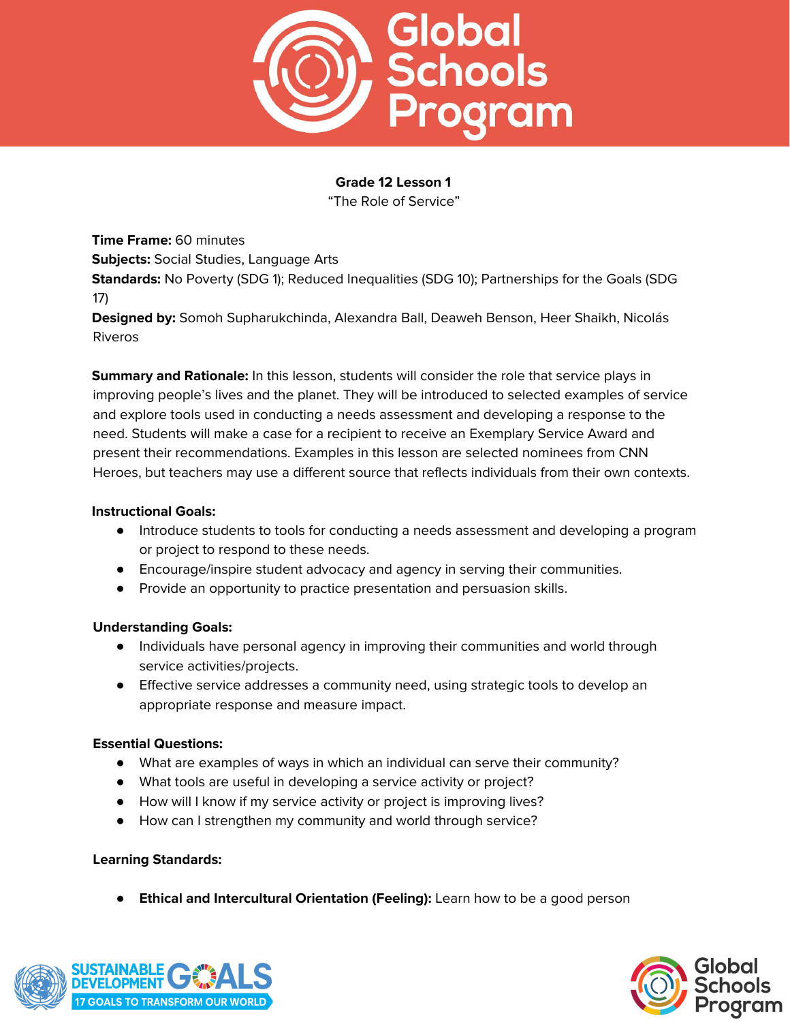

"The Role of Service"

**Time Frame:** 60 minutes **Subjects:** Social Studies, Language Arts **Standards:** No Poverty (SDG 1); Reduced Inequalities (SDG 10); Partnerships for the Goals (SDG 17)

**Designed by:** Somoh Supharukchinda, Alexandra Ball, Deaweh Benson, Heer Shaikh, Nicolás Riveros

**Summary and Rationale:** In this lesson, students will consider the role that service plays in improving people's lives and the planet. They will be introduced to selected examples of service and explore tools used in conducting a needs assessment and developing a response to the need. Students will make a case for a recipient to receive an Exemplary Service Award and present their recommendations. Examples in this lesson are selected nominees from CNN Heroes, but teachers may use a different source that reflects individuals from their own contexts.

#### **Instructional Goals:**

- Introduce students to tools for conducting a needs assessment and developing a program or project to respond to these needs.
- Encourage/inspire student advocacy and agency in serving their communities.
- Provide an opportunity to practice presentation and persuasion skills.

#### **Understanding Goals:**

- Individuals have personal agency in improving their communities and world through service activities/projects.
- Effective service addresses a community need, using strategic tools to develop an appropriate response and measure impact.

#### **Essential Questions:**

- What are examples of ways in which an individual can serve their community?
- What tools are useful in developing a service activity or project?
- How will I know if my service activity or project is improving lives?
- How can I strengthen my community and world through service?

#### **Learning Standards:**

● **Ethical and Intercultural Orientation (Feeling):** Learn how to be a good person



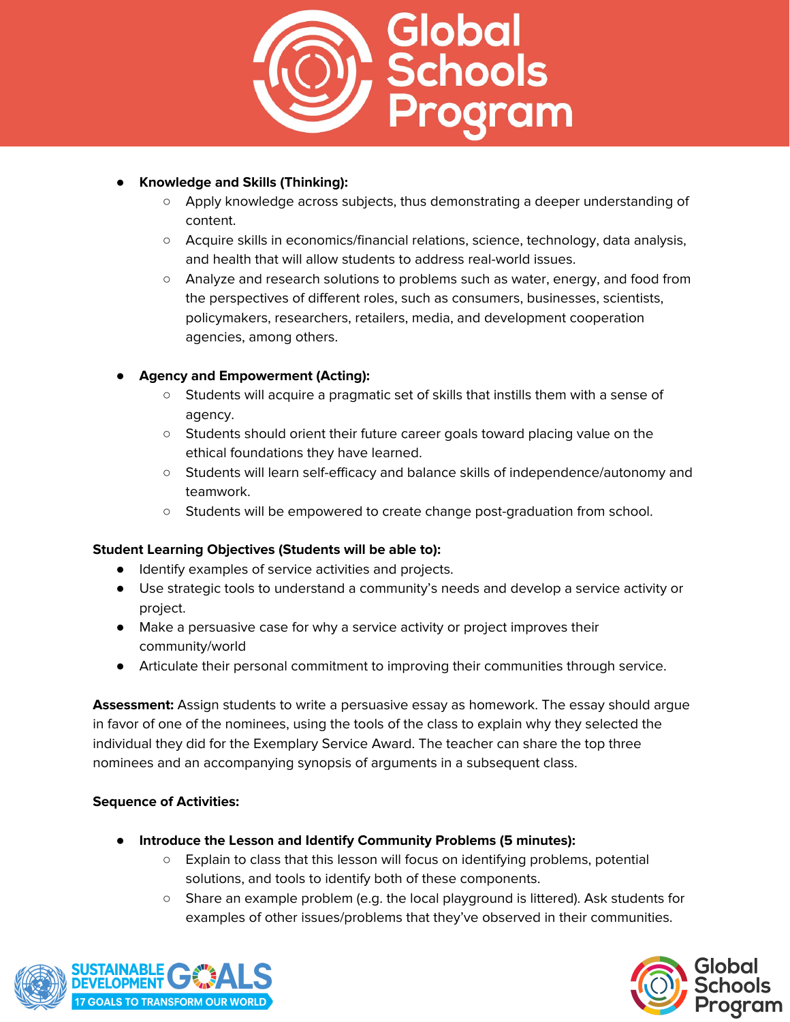

## **● Knowledge and Skills (Thinking):**

- Apply knowledge across subjects, thus demonstrating a deeper understanding of content.
- Acquire skills in economics/financial relations, science, technology, data analysis, and health that will allow students to address real-world issues.
- Analyze and research solutions to problems such as water, energy, and food from the perspectives of different roles, such as consumers, businesses, scientists, policymakers, researchers, retailers, media, and development cooperation agencies, among others.

# **● Agency and Empowerment (Acting):**

- Students will acquire a pragmatic set of skills that instills them with a sense of agency.
- Students should orient their future career goals toward placing value on the ethical foundations they have learned.
- Students will learn self-efficacy and balance skills of independence/autonomy and teamwork.
- Students will be empowered to create change post-graduation from school.

#### **Student Learning Objectives (Students will be able to):**

- Identify examples of service activities and projects.
- Use strategic tools to understand a community's needs and develop a service activity or project.
- Make a persuasive case for why a service activity or project improves their community/world
- Articulate their personal commitment to improving their communities through service.

**Assessment:** Assign students to write a persuasive essay as homework. The essay should argue in favor of one of the nominees, using the tools of the class to explain why they selected the individual they did for the Exemplary Service Award. The teacher can share the top three nominees and an accompanying synopsis of arguments in a subsequent class.

#### **Sequence of Activities:**

- **● Introduce the Lesson and Identify Community Problems (5 minutes):**
	- Explain to class that this lesson will focus on identifying problems, potential solutions, and tools to identify both of these components.
	- Share an example problem (e.g. the local playground is littered). Ask students for examples of other issues/problems that they've observed in their communities.



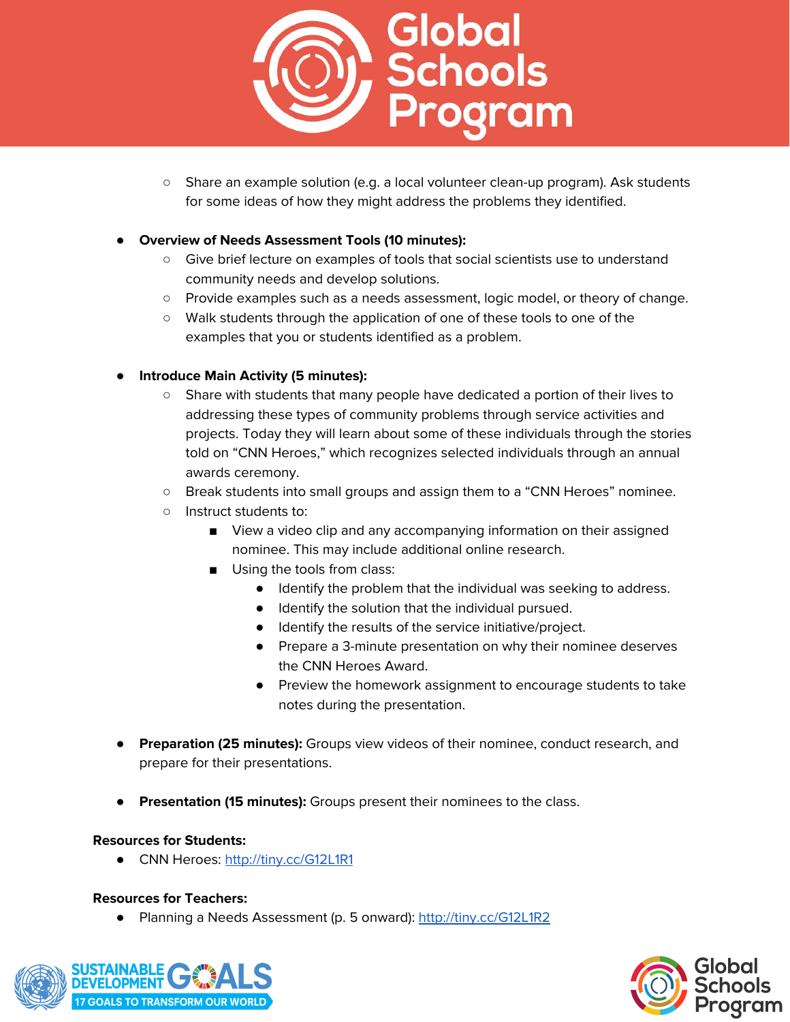

○ Share an example solution (e.g. a local volunteer clean-up program). Ask students for some ideas of how they might address the problems they identified.

#### **● Overview of Needs Assessment Tools (10 minutes):**

- Give brief lecture on examples of tools that social scientists use to understand community needs and develop solutions.
- Provide examples such as a needs assessment, logic model, or theory of change.
- Walk students through the application of one of these tools to one of the examples that you or students identified as a problem.

## **● Introduce Main Activity (5 minutes):**

- Share with students that many people have dedicated a portion of their lives to addressing these types of community problems through service activities and projects. Today they will learn about some of these individuals through the stories told on "CNN Heroes," which recognizes selected individuals through an annual awards ceremony.
- Break students into small groups and assign them to a "CNN Heroes" nominee.
- Instruct students to:
	- View a video clip and any accompanying information on their assigned nominee. This may include additional online research.
	- Using the tools from class:
		- Identify the problem that the individual was seeking to address.
		- Identify the solution that the individual pursued.
		- Identify the results of the service initiative/project.
		- Prepare a 3-minute presentation on why their nominee deserves the CNN Heroes Award.
		- Preview the homework assignment to encourage students to take notes during the presentation.
- **Preparation (25 minutes):** Groups view videos of their nominee, conduct research, and prepare for their presentations.
- **Presentation (15 minutes):** Groups present their nominees to the class.

#### **Resources for Students:**

● CNN Heroes: <http://tiny.cc/G12L1R1>

#### **Resources for Teachers:**

**●** Planning a Needs Assessment (p. 5 onward): <http://tiny.cc/G12L1R2>



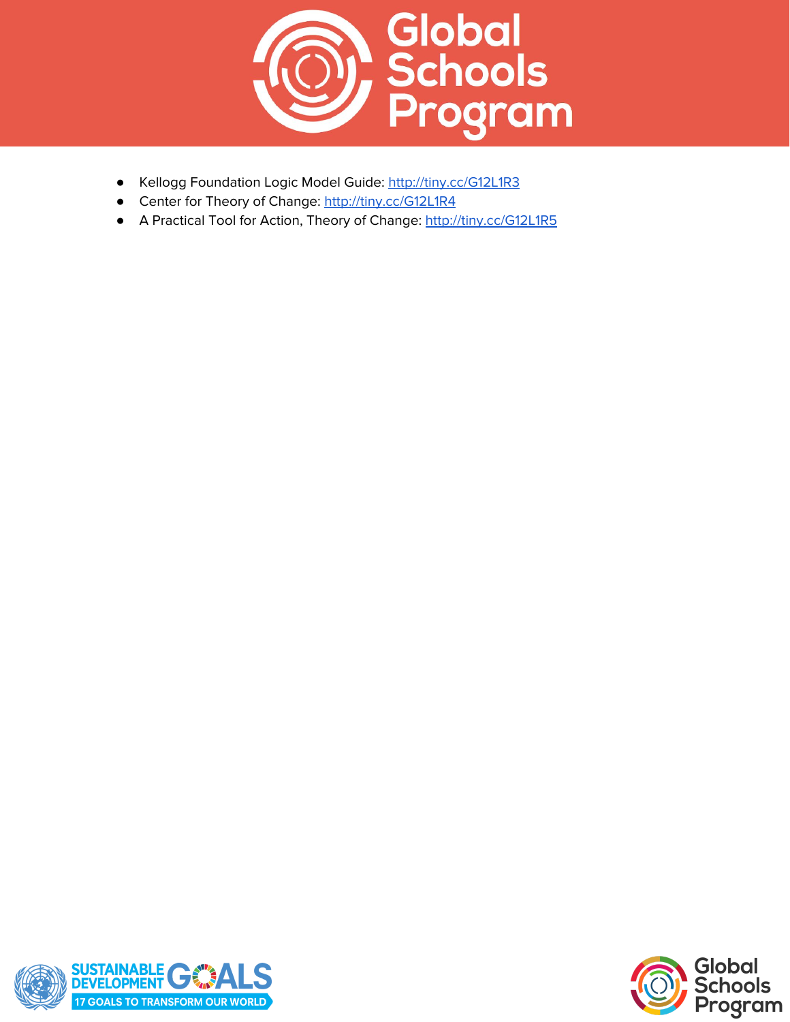

- **●** Kellogg Foundation Logic Model Guide: <http://tiny.cc/G12L1R3>
- **●** Center for Theory of Change: <http://tiny.cc/G12L1R4>
- **●** A Practical Tool for Action, Theory of Change: <http://tiny.cc/G12L1R5>



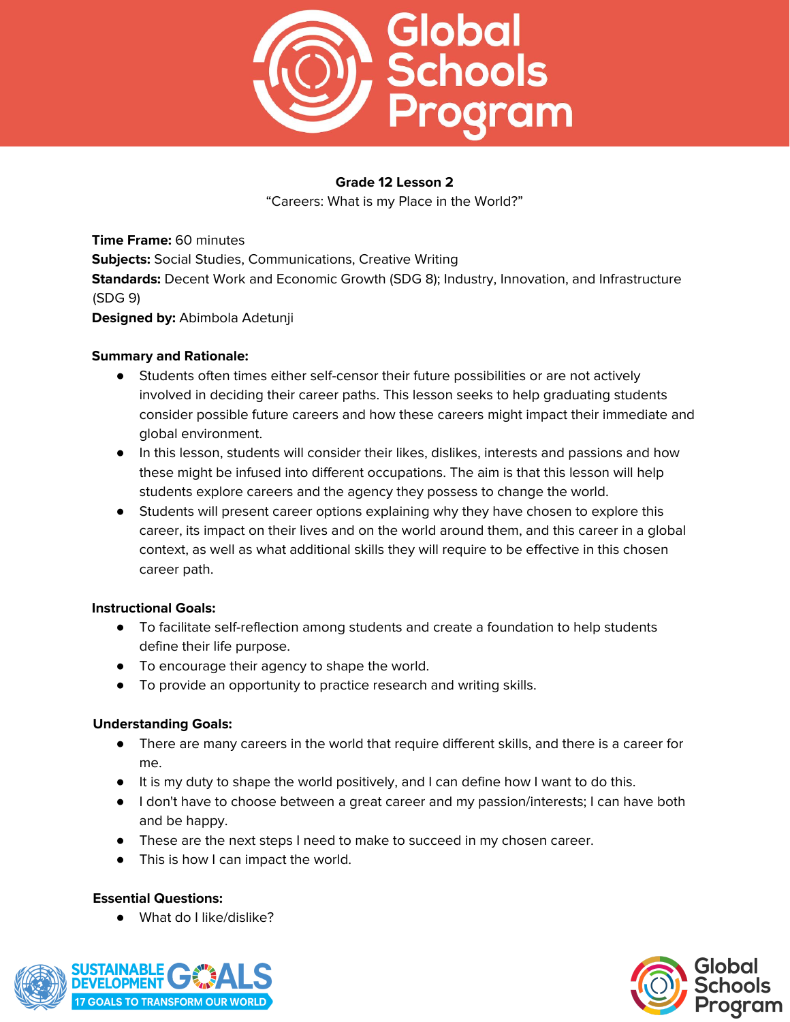

"Careers: What is my Place in the World?"

**Time Frame:** 60 minutes **Subjects:** Social Studies, Communications, Creative Writing **Standards:** Decent Work and Economic Growth (SDG 8); Industry, Innovation, and Infrastructure (SDG 9) **Designed by:** Abimbola Adetunji

#### **Summary and Rationale:**

- Students often times either self-censor their future possibilities or are not actively involved in deciding their career paths. This lesson seeks to help graduating students consider possible future careers and how these careers might impact their immediate and global environment.
- In this lesson, students will consider their likes, dislikes, interests and passions and how these might be infused into different occupations. The aim is that this lesson will help students explore careers and the agency they possess to change the world.
- Students will present career options explaining why they have chosen to explore this career, its impact on their lives and on the world around them, and this career in a global context, as well as what additional skills they will require to be effective in this chosen career path.

#### **Instructional Goals:**

- To facilitate self-reflection among students and create a foundation to help students define their life purpose.
- To encourage their agency to shape the world.
- To provide an opportunity to practice research and writing skills.

#### **Understanding Goals:**

- There are many careers in the world that require different skills, and there is a career for me.
- It is my duty to shape the world positively, and I can define how I want to do this.
- I don't have to choose between a great career and my passion/interests; I can have both and be happy.
- These are the next steps I need to make to succeed in my chosen career.
- This is how I can impact the world.

#### **Essential Questions:**

● What do I like/dislike?



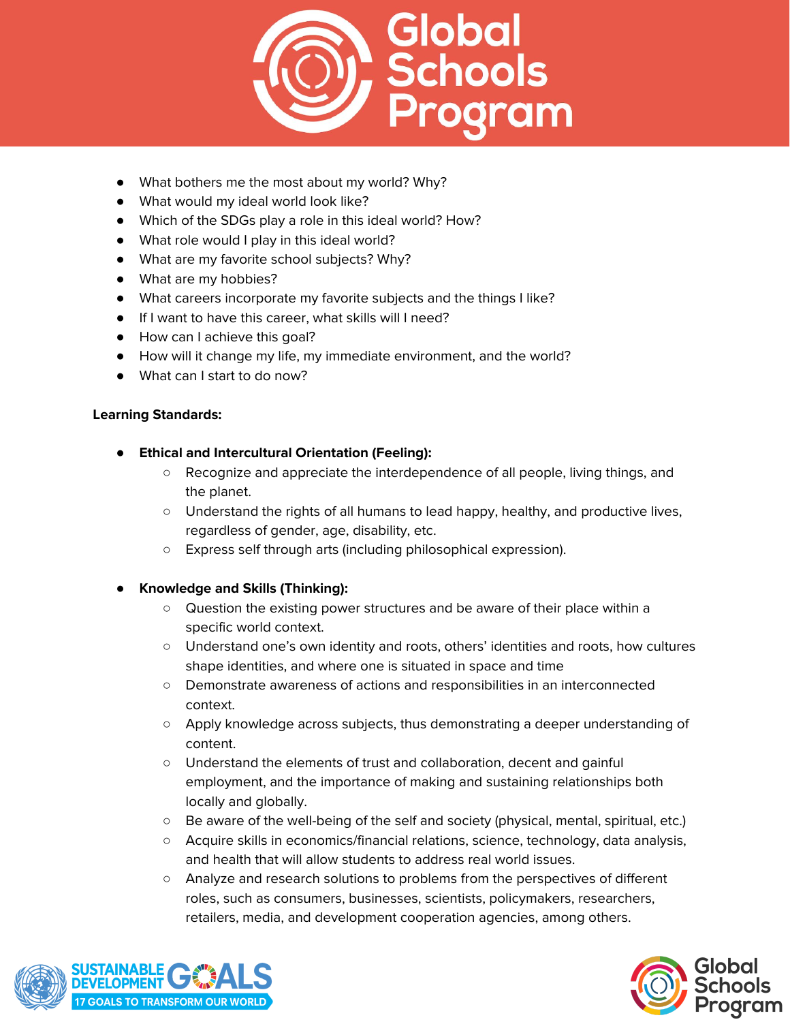

- What bothers me the most about my world? Why?
- What would my ideal world look like?
- Which of the SDGs play a role in this ideal world? How?
- What role would I play in this ideal world?
- What are my favorite school subjects? Why?
- What are my hobbies?
- What careers incorporate my favorite subjects and the things I like?
- If I want to have this career, what skills will I need?
- How can I achieve this goal?
- How will it change my life, my immediate environment, and the world?
- What can I start to do now?

# **Learning Standards:**

- **● Ethical and Intercultural Orientation (Feeling):**
	- Recognize and appreciate the interdependence of all people, living things, and the planet.
	- Understand the rights of all humans to lead happy, healthy, and productive lives, regardless of gender, age, disability, etc.
	- Express self through arts (including philosophical expression).
- **● Knowledge and Skills (Thinking):**
	- Question the existing power structures and be aware of their place within a specific world context.
	- Understand one's own identity and roots, others' identities and roots, how cultures shape identities, and where one is situated in space and time
	- Demonstrate awareness of actions and responsibilities in an interconnected context.
	- Apply knowledge across subjects, thus demonstrating a deeper understanding of content.
	- Understand the elements of trust and collaboration, decent and gainful employment, and the importance of making and sustaining relationships both locally and globally.
	- Be aware of the well-being of the self and society (physical, mental, spiritual, etc.)
	- Acquire skills in economics/financial relations, science, technology, data analysis, and health that will allow students to address real world issues.
	- Analyze and research solutions to problems from the perspectives of different roles, such as consumers, businesses, scientists, policymakers, researchers, retailers, media, and development cooperation agencies, among others.



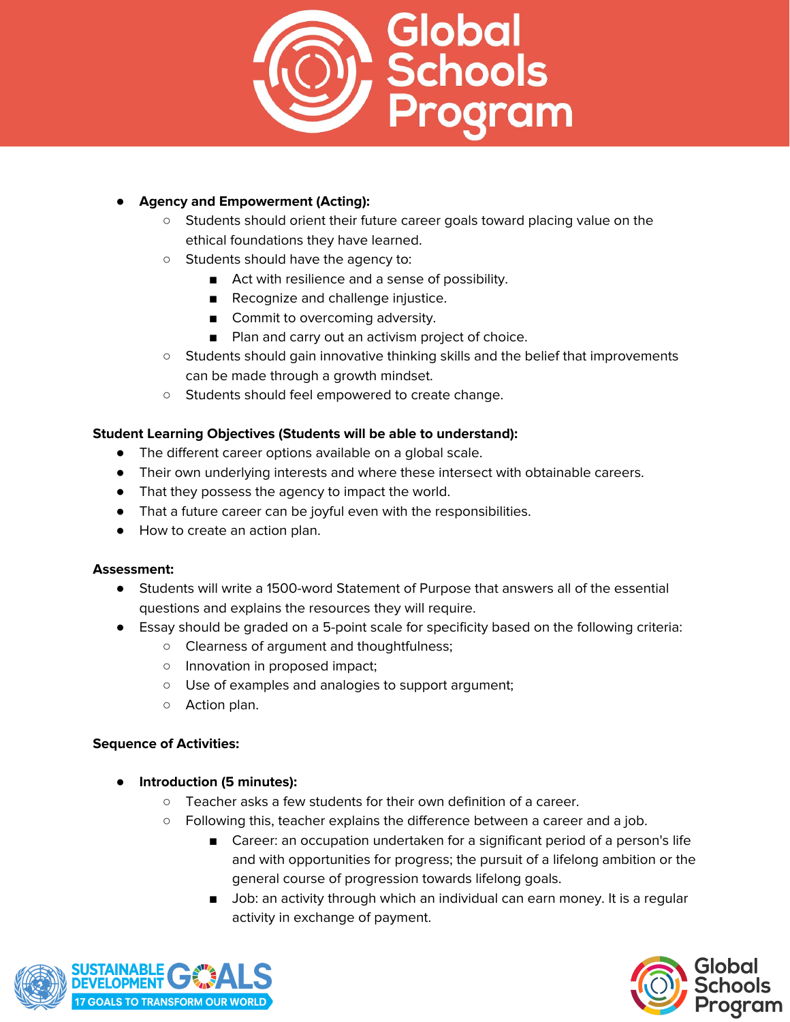

# **● Agency and Empowerment (Acting):**

- Students should orient their future career goals toward placing value on the ethical foundations they have learned.
- Students should have the agency to:
	- Act with resilience and a sense of possibility.
	- Recognize and challenge injustice.
	- Commit to overcoming adversity.
	- Plan and carry out an activism project of choice.
- Students should gain innovative thinking skills and the belief that improvements can be made through a growth mindset.
- Students should feel empowered to create change.

## **Student Learning Objectives (Students will be able to understand):**

- The different career options available on a global scale.
- Their own underlying interests and where these intersect with obtainable careers.
- That they possess the agency to impact the world.
- That a future career can be joyful even with the responsibilities.
- How to create an action plan.

#### **Assessment:**

- Students will write a 1500-word Statement of Purpose that answers all of the essential questions and explains the resources they will require.
- Essay should be graded on a 5-point scale for specificity based on the following criteria:
	- Clearness of argument and thoughtfulness;
	- Innovation in proposed impact;
	- Use of examples and analogies to support argument;
	- Action plan.

#### **Sequence of Activities:**

- **● Introduction (5 minutes):**
	- Teacher asks a few students for their own definition of a career.
	- Following this, teacher explains the difference between a career and a job.
		- Career: an occupation undertaken for a significant period of a person's life and with opportunities for progress; the pursuit of a lifelong ambition or the general course of progression towards lifelong goals.
		- Job: an activity through which an individual can earn money. It is a regular activity in exchange of payment.



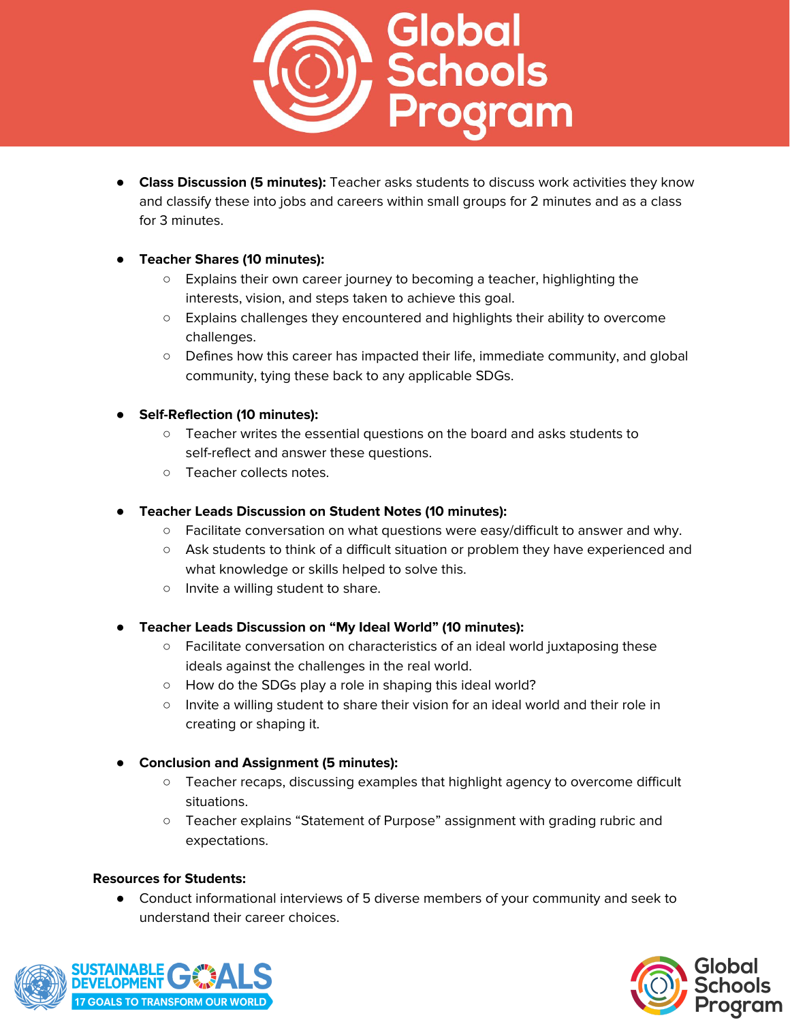

● **Class Discussion (5 minutes):** Teacher asks students to discuss work activities they know and classify these into jobs and careers within small groups for 2 minutes and as a class for 3 minutes.

## **● Teacher Shares (10 minutes):**

- Explains their own career journey to becoming a teacher, highlighting the interests, vision, and steps taken to achieve this goal.
- Explains challenges they encountered and highlights their ability to overcome challenges.
- Defines how this career has impacted their life, immediate community, and global community, tying these back to any applicable SDGs.

## **● Self-Reflection (10 minutes):**

- Teacher writes the essential questions on the board and asks students to self-reflect and answer these questions.
- Teacher collects notes.

## **● Teacher Leads Discussion on Student Notes (10 minutes):**

- Facilitate conversation on what questions were easy/difficult to answer and why.
- Ask students to think of a difficult situation or problem they have experienced and what knowledge or skills helped to solve this.
- Invite a willing student to share.
- **● Teacher Leads Discussion on "My Ideal World" (10 minutes):**
	- Facilitate conversation on characteristics of an ideal world juxtaposing these ideals against the challenges in the real world.
	- How do the SDGs play a role in shaping this ideal world?
	- Invite a willing student to share their vision for an ideal world and their role in creating or shaping it.

# **● Conclusion and Assignment (5 minutes):**

- Teacher recaps, discussing examples that highlight agency to overcome difficult situations.
- Teacher explains "Statement of Purpose" assignment with grading rubric and expectations.

#### **Resources for Students:**

● Conduct informational interviews of 5 diverse members of your community and seek to understand their career choices.



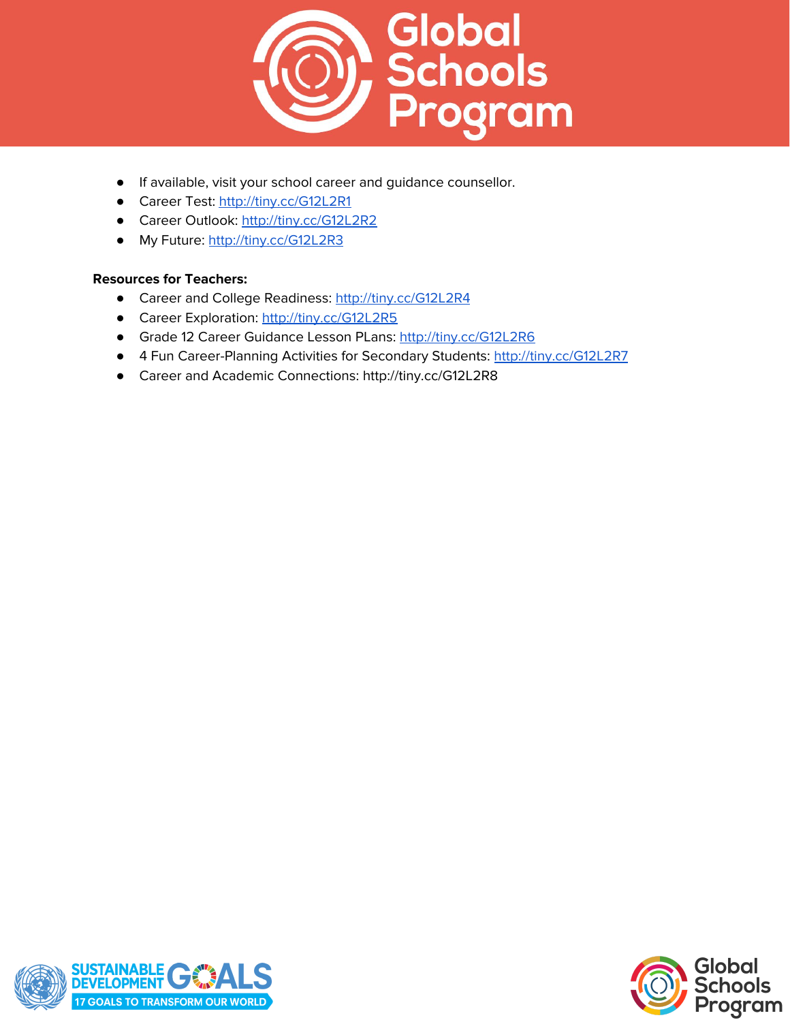

- If available, visit your school career and guidance counsellor.
- Career Test: <http://tiny.cc/G12L2R1>
- Career Outlook: <http://tiny.cc/G12L2R2>
- My Future: <http://tiny.cc/G12L2R3>

#### **Resources for Teachers:**

- Career and College Readiness: <http://tiny.cc/G12L2R4>
- Career Exploration: <http://tiny.cc/G12L2R5>
- Grade 12 Career Guidance Lesson PLans: <http://tiny.cc/G12L2R6>
- 4 Fun Career-Planning Activities for Secondary Students: <http://tiny.cc/G12L2R7>
- Career and Academic Connections: http://tiny.cc/G12L2R8



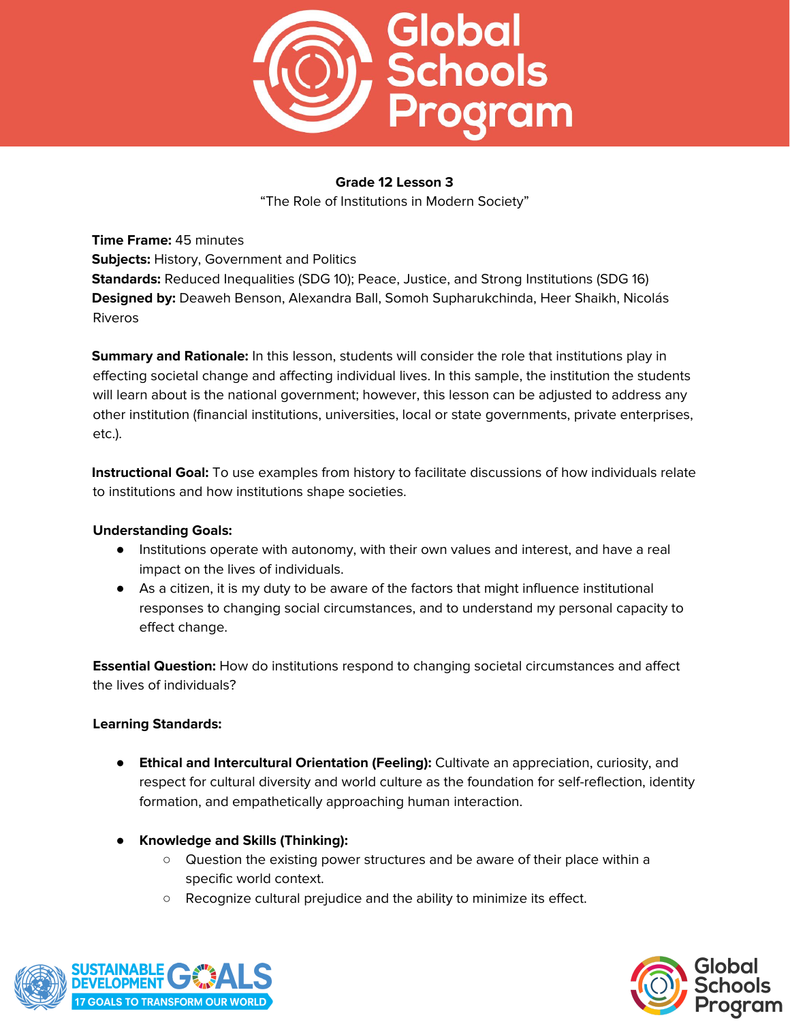

"The Role of Institutions in Modern Society"

**Time Frame:** 45 minutes **Subjects:** History, Government and Politics **Standards:** Reduced Inequalities (SDG 10); Peace, Justice, and Strong Institutions (SDG 16) **Designed by:** Deaweh Benson, Alexandra Ball, Somoh Supharukchinda, Heer Shaikh, Nicolás Riveros

**Summary and Rationale:** In this lesson, students will consider the role that institutions play in effecting societal change and affecting individual lives. In this sample, the institution the students will learn about is the national government; however, this lesson can be adjusted to address any other institution (financial institutions, universities, local or state governments, private enterprises, etc.).

**Instructional Goal:** To use examples from history to facilitate discussions of how individuals relate to institutions and how institutions shape societies.

# **Understanding Goals:**

- Institutions operate with autonomy, with their own values and interest, and have a real impact on the lives of individuals.
- As a citizen, it is my duty to be aware of the factors that might influence institutional responses to changing social circumstances, and to understand my personal capacity to effect change.

**Essential Question:** How do institutions respond to changing societal circumstances and affect the lives of individuals?

# **Learning Standards:**

- **Ethical and Intercultural Orientation (Feeling):** Cultivate an appreciation, curiosity, and respect for cultural diversity and world culture as the foundation for self-reflection, identity formation, and empathetically approaching human interaction.
- **● Knowledge and Skills (Thinking):**
	- Question the existing power structures and be aware of their place within a specific world context.
	- Recognize cultural prejudice and the ability to minimize its effect.



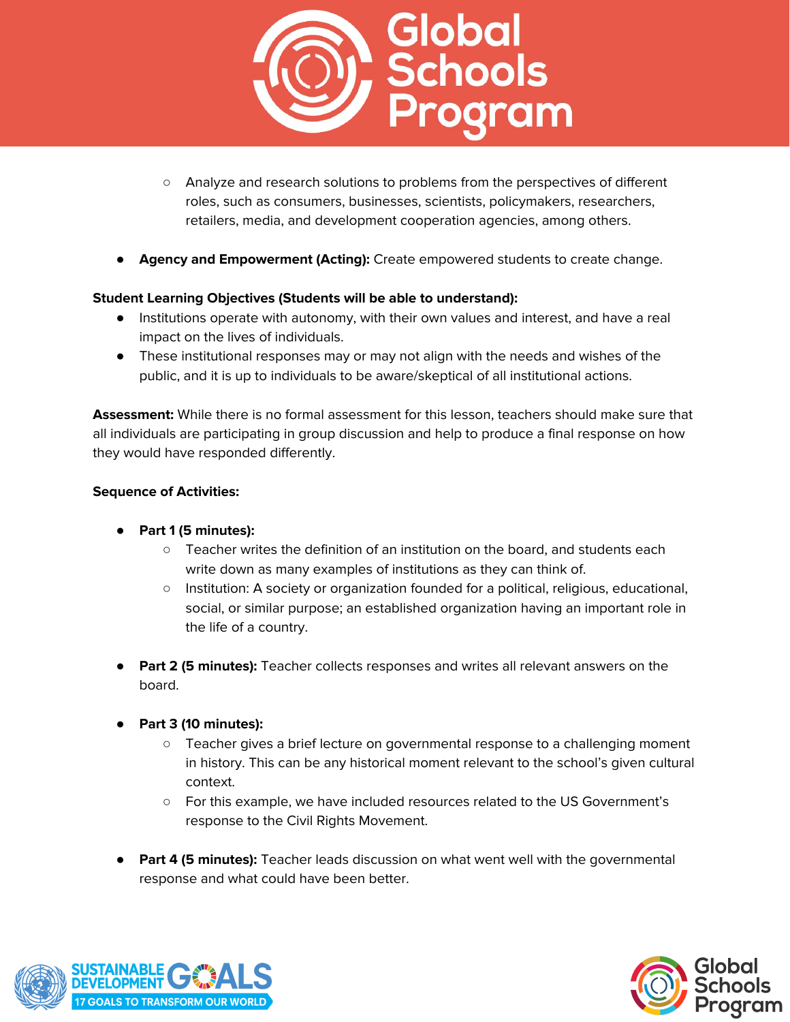

- Analyze and research solutions to problems from the perspectives of different roles, such as consumers, businesses, scientists, policymakers, researchers, retailers, media, and development cooperation agencies, among others.
- **● Agency and Empowerment (Acting):** Create empowered students to create change.

# **Student Learning Objectives (Students will be able to understand):**

- Institutions operate with autonomy, with their own values and interest, and have a real impact on the lives of individuals.
- These institutional responses may or may not align with the needs and wishes of the public, and it is up to individuals to be aware/skeptical of all institutional actions.

**Assessment:** While there is no formal assessment for this lesson, teachers should make sure that all individuals are participating in group discussion and help to produce a final response on how they would have responded differently.

#### **Sequence of Activities:**

- **● Part 1 (5 minutes):**
	- $\circ$  Teacher writes the definition of an institution on the board, and students each write down as many examples of institutions as they can think of.
	- Institution: A society or organization founded for a political, religious, educational, social, or similar purpose; an established organization having an important role in the life of a country.
- **Part 2 (5 minutes):** Teacher collects responses and writes all relevant answers on the board.
- **● Part 3 (10 minutes):**
	- Teacher gives a brief lecture on governmental response to a challenging moment in history. This can be any historical moment relevant to the school's given cultural context.
	- For this example, we have included resources related to the US Government's response to the Civil Rights Movement.
- **Part 4 (5 minutes):** Teacher leads discussion on what went well with the governmental response and what could have been better.



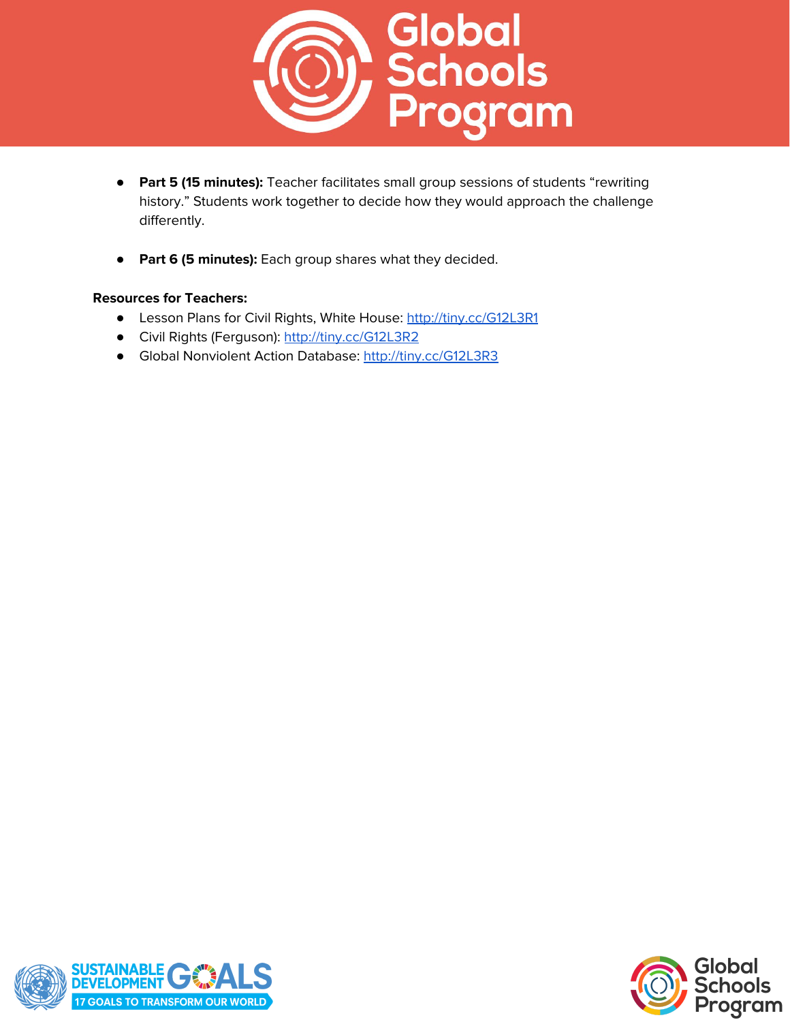

- **Part 5 (15 minutes):** Teacher facilitates small group sessions of students "rewriting history." Students work together to decide how they would approach the challenge differently.
- **Part 6 (5 minutes):** Each group shares what they decided.

#### **Resources for Teachers:**

- Lesson Plans for Civil Rights, White House: <http://tiny.cc/G12L3R1>
- Civil Rights (Ferguson): <http://tiny.cc/G12L3R2>
- Global Nonviolent Action Database: <http://tiny.cc/G12L3R3>



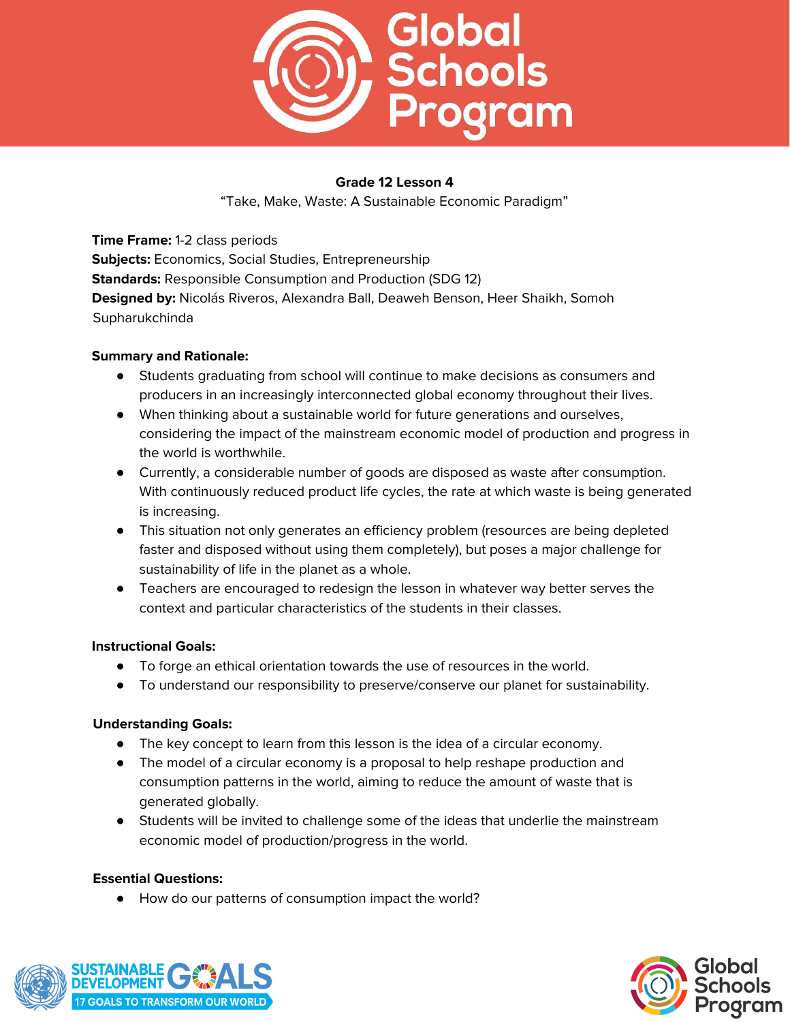

"Take, Make, Waste: A Sustainable Economic Paradigm"

**Time Frame:** 1-2 class periods **Subjects:** Economics, Social Studies, Entrepreneurship **Standards:** Responsible Consumption and Production (SDG 12) **Designed by:** Nicolás Riveros, Alexandra Ball, Deaweh Benson, Heer Shaikh, Somoh Supharukchinda

## **Summary and Rationale:**

- Students graduating from school will continue to make decisions as consumers and producers in an increasingly interconnected global economy throughout their lives.
- When thinking about a sustainable world for future generations and ourselves, considering the impact of the mainstream economic model of production and progress in the world is worthwhile.
- Currently, a considerable number of goods are disposed as waste after consumption. With continuously reduced product life cycles, the rate at which waste is being generated is increasing.
- This situation not only generates an efficiency problem (resources are being depleted faster and disposed without using them completely), but poses a major challenge for sustainability of life in the planet as a whole.
- Teachers are encouraged to redesign the lesson in whatever way better serves the context and particular characteristics of the students in their classes.

# **Instructional Goals:**

- To forge an ethical orientation towards the use of resources in the world.
- To understand our responsibility to preserve/conserve our planet for sustainability.

#### **Understanding Goals:**

- The key concept to learn from this lesson is the idea of a circular economy.
- The model of a circular economy is a proposal to help reshape production and consumption patterns in the world, aiming to reduce the amount of waste that is generated globally.
- Students will be invited to challenge some of the ideas that underlie the mainstream economic model of production/progress in the world.

#### **Essential Questions:**

● How do our patterns of consumption impact the world?



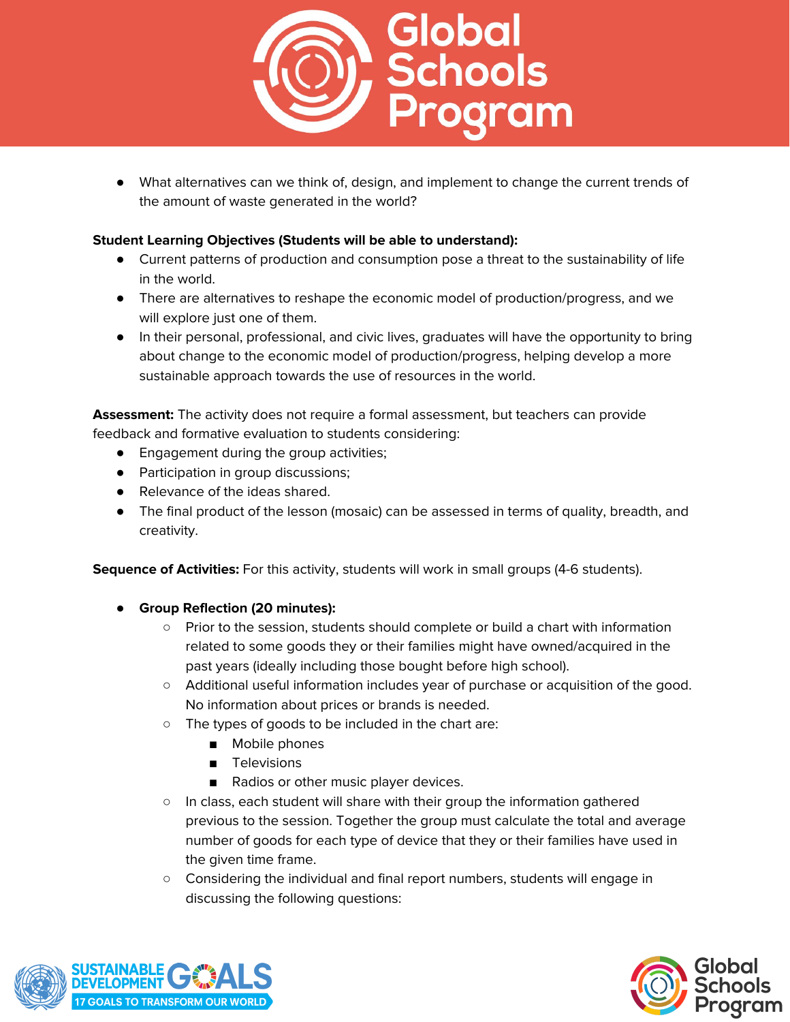

● What alternatives can we think of, design, and implement to change the current trends of the amount of waste generated in the world?

## **Student Learning Objectives (Students will be able to understand):**

- Current patterns of production and consumption pose a threat to the sustainability of life in the world.
- There are alternatives to reshape the economic model of production/progress, and we will explore just one of them.
- In their personal, professional, and civic lives, graduates will have the opportunity to bring about change to the economic model of production/progress, helping develop a more sustainable approach towards the use of resources in the world.

**Assessment:** The activity does not require a formal assessment, but teachers can provide feedback and formative evaluation to students considering:

- Engagement during the group activities;
- Participation in group discussions;
- Relevance of the ideas shared.
- The final product of the lesson (mosaic) can be assessed in terms of quality, breadth, and creativity.

**Sequence of Activities:** For this activity, students will work in small groups (4-6 students).

- **● Group Reflection (20 minutes):**
	- Prior to the session, students should complete or build a chart with information related to some goods they or their families might have owned/acquired in the past years (ideally including those bought before high school).
	- Additional useful information includes year of purchase or acquisition of the good. No information about prices or brands is needed.
	- The types of goods to be included in the chart are:
		- Mobile phones
		- Televisions
		- Radios or other music player devices.
	- In class, each student will share with their group the information gathered previous to the session. Together the group must calculate the total and average number of goods for each type of device that they or their families have used in the given time frame.
	- Considering the individual and final report numbers, students will engage in discussing the following questions:



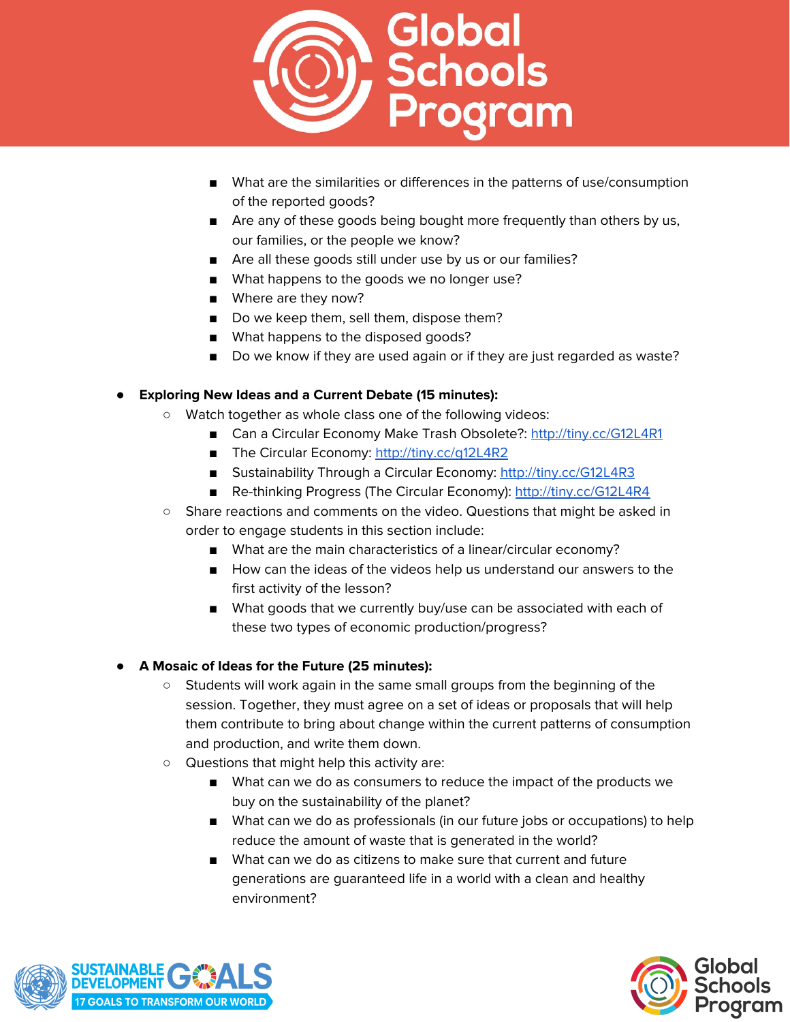

- What are the similarities or differences in the patterns of use/consumption of the reported goods?
- Are any of these goods being bought more frequently than others by us, our families, or the people we know?
- Are all these goods still under use by us or our families?
- What happens to the goods we no longer use?
- Where are they now?
- Do we keep them, sell them, dispose them?
- What happens to the disposed goods?
- Do we know if they are used again or if they are just regarded as waste?

## **● Exploring New Ideas and a Current Debate (15 minutes):**

- Watch together as whole class one of the following videos:
	- Can a Circular Economy Make Trash Obsolete?: <http://tiny.cc/G12L4R1>
	- The Circular Economy: http://tiny.cc/q12L4R2
	- Sustainability Through a Circular Economy: <http://tiny.cc/G12L4R3>
	- Re-thinking Progress (The Circular Economy): <http://tiny.cc/G12L4R4>
- Share reactions and comments on the video. Questions that might be asked in order to engage students in this section include:
	- What are the main characteristics of a linear/circular economy?
	- How can the ideas of the videos help us understand our answers to the first activity of the lesson?
	- What goods that we currently buy/use can be associated with each of these two types of economic production/progress?

#### **● A Mosaic of Ideas for the Future (25 minutes):**

- Students will work again in the same small groups from the beginning of the session. Together, they must agree on a set of ideas or proposals that will help them contribute to bring about change within the current patterns of consumption and production, and write them down.
- Questions that might help this activity are:
	- What can we do as consumers to reduce the impact of the products we buy on the sustainability of the planet?
	- What can we do as professionals (in our future jobs or occupations) to help reduce the amount of waste that is generated in the world?
	- What can we do as citizens to make sure that current and future generations are guaranteed life in a world with a clean and healthy environment?



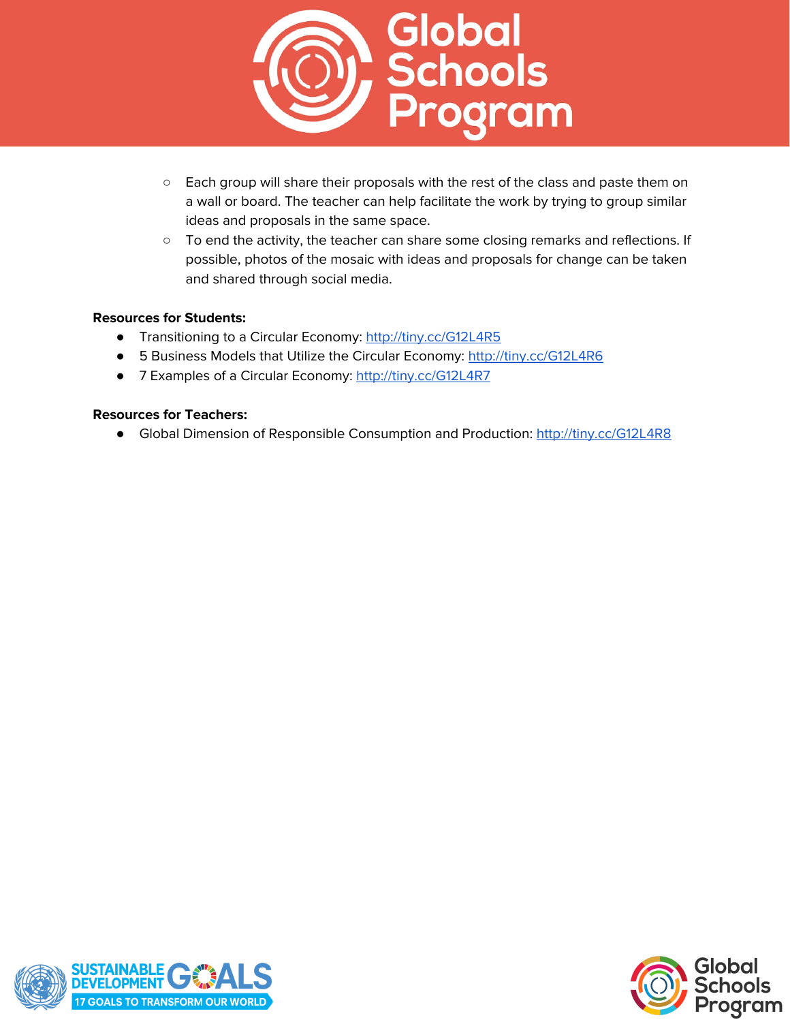

- Each group will share their proposals with the rest of the class and paste them on a wall or board. The teacher can help facilitate the work by trying to group similar ideas and proposals in the same space.
- To end the activity, the teacher can share some closing remarks and reflections. If possible, photos of the mosaic with ideas and proposals for change can be taken and shared through social media.

#### **Resources for Students:**

- Transitioning to a Circular Economy: <http://tiny.cc/G12L4R5>
- 5 Business Models that Utilize the Circular Economy: <http://tiny.cc/G12L4R6>
- 7 Examples of a Circular Economy: <http://tiny.cc/G12L4R7>

#### **Resources for Teachers:**

● Global Dimension of Responsible Consumption and Production: <http://tiny.cc/G12L4R8>



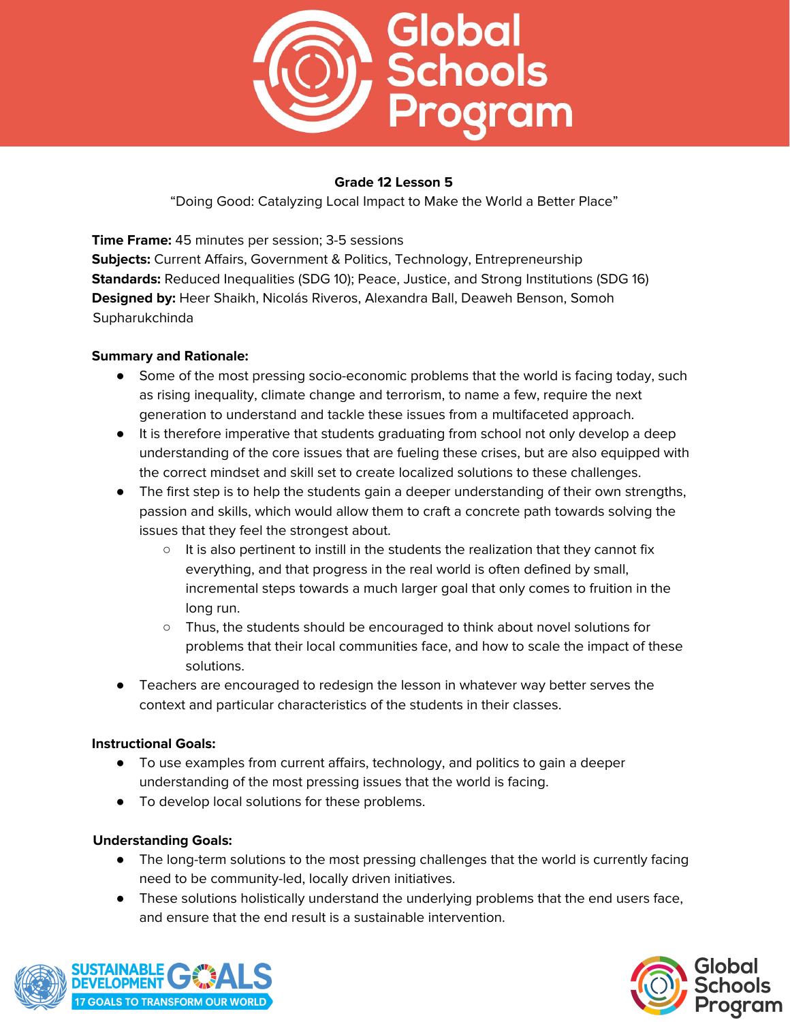

"Doing Good: Catalyzing Local Impact to Make the World a Better Place"

**Time Frame:** 45 minutes per session; 3-5 sessions **Subjects:** Current Affairs, Government & Politics, Technology, Entrepreneurship **Standards:** Reduced Inequalities (SDG 10); Peace, Justice, and Strong Institutions (SDG 16) **Designed by:** Heer Shaikh, Nicolás Riveros, Alexandra Ball, Deaweh Benson, Somoh Supharukchinda

## **Summary and Rationale:**

- Some of the most pressing socio-economic problems that the world is facing today, such as rising inequality, climate change and terrorism, to name a few, require the next generation to understand and tackle these issues from a multifaceted approach.
- It is therefore imperative that students graduating from school not only develop a deep understanding of the core issues that are fueling these crises, but are also equipped with the correct mindset and skill set to create localized solutions to these challenges.
- The first step is to help the students gain a deeper understanding of their own strengths, passion and skills, which would allow them to craft a concrete path towards solving the issues that they feel the strongest about.
	- $\circ$  It is also pertinent to instill in the students the realization that they cannot fix everything, and that progress in the real world is often defined by small, incremental steps towards a much larger goal that only comes to fruition in the long run.
	- Thus, the students should be encouraged to think about novel solutions for problems that their local communities face, and how to scale the impact of these solutions.
- Teachers are encouraged to redesign the lesson in whatever way better serves the context and particular characteristics of the students in their classes.

#### **Instructional Goals:**

- To use examples from current affairs, technology, and politics to gain a deeper understanding of the most pressing issues that the world is facing.
- To develop local solutions for these problems.

# **Understanding Goals:**

- The long-term solutions to the most pressing challenges that the world is currently facing need to be community-led, locally driven initiatives.
- These solutions holistically understand the underlying problems that the end users face, and ensure that the end result is a sustainable intervention.



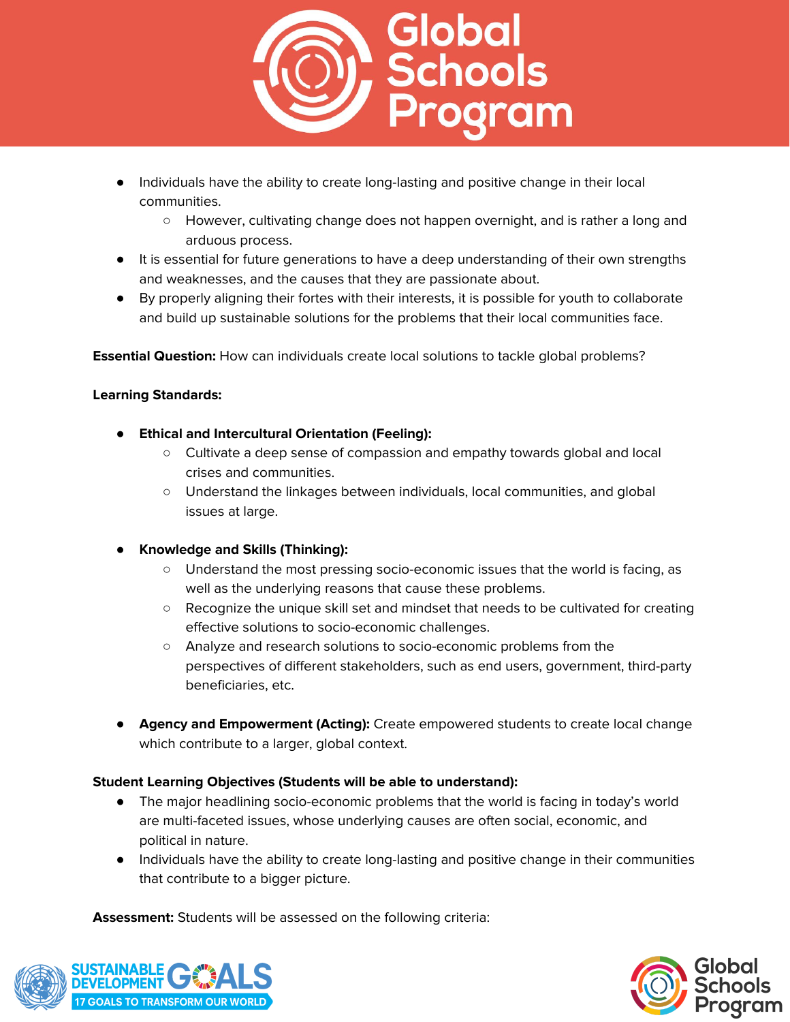

- Individuals have the ability to create long-lasting and positive change in their local communities.
	- However, cultivating change does not happen overnight, and is rather a long and arduous process.
- It is essential for future generations to have a deep understanding of their own strengths and weaknesses, and the causes that they are passionate about.
- By properly aligning their fortes with their interests, it is possible for youth to collaborate and build up sustainable solutions for the problems that their local communities face.

**Essential Question:** How can individuals create local solutions to tackle global problems?

#### **Learning Standards:**

- **● Ethical and Intercultural Orientation (Feeling):**
	- Cultivate a deep sense of compassion and empathy towards global and local crises and communities.
	- Understand the linkages between individuals, local communities, and global issues at large.
- **● Knowledge and Skills (Thinking):**
	- Understand the most pressing socio-economic issues that the world is facing, as well as the underlying reasons that cause these problems.
	- Recognize the unique skill set and mindset that needs to be cultivated for creating effective solutions to socio-economic challenges.
	- Analyze and research solutions to socio-economic problems from the perspectives of different stakeholders, such as end users, government, third-party beneficiaries, etc.
- **Agency and Empowerment (Acting):** Create empowered students to create local change which contribute to a larger, global context.

#### **Student Learning Objectives (Students will be able to understand):**

- The major headlining socio-economic problems that the world is facing in today's world are multi-faceted issues, whose underlying causes are often social, economic, and political in nature.
- Individuals have the ability to create long-lasting and positive change in their communities that contribute to a bigger picture.

**Assessment:** Students will be assessed on the following criteria: